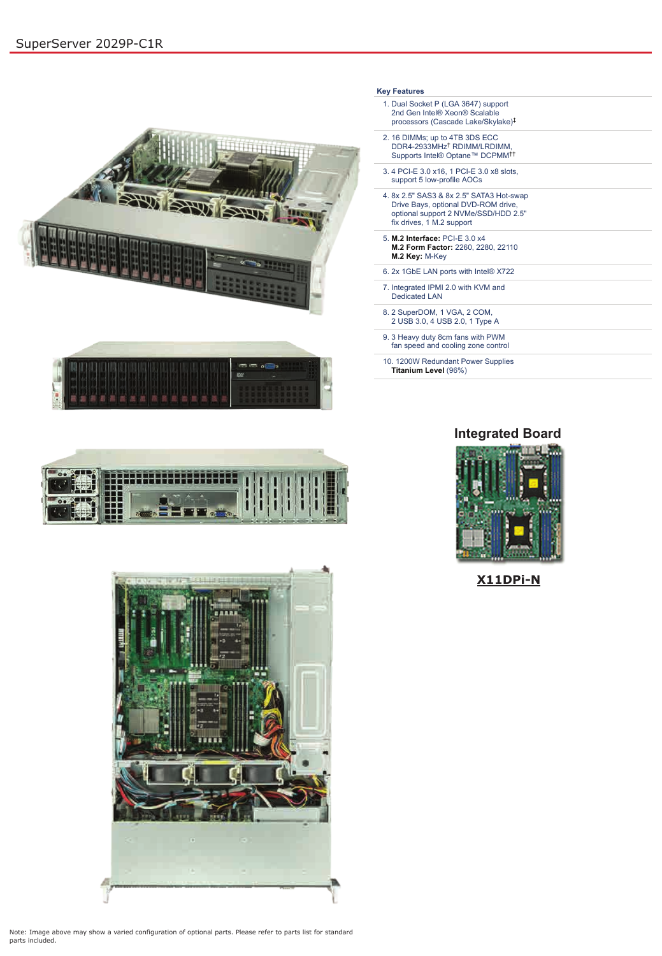



Note: Image above may show a varied configuration of optional parts. Please refer to parts list for standard parts included.

| <b>Key Features</b>                                                                                                                                  |  |
|------------------------------------------------------------------------------------------------------------------------------------------------------|--|
| 1. Dual Socket P (LGA 3647) support<br>2nd Gen Intel® Xeon® Scalable<br>processors (Cascade Lake/Skylake) <sup>‡</sup>                               |  |
| 2. 16 DIMMs; up to 4TB 3DS ECC<br>DDR4-2933MHz <sup>†</sup> RDIMM/LRDIMM,<br>Supports Intel® Optane™ DCPMM <sup>††</sup>                             |  |
| 3.4 PCI-E 3.0 x16, 1 PCI-E 3.0 x8 slots,<br>support 5 low-profile AOCs                                                                               |  |
| 4. 8x 2.5" SAS3 & 8x 2.5" SATA3 Hot-swap<br>Drive Bays, optional DVD-ROM drive,<br>optional support 2 NVMe/SSD/HDD 2.5"<br>fix drives, 1 M.2 support |  |
| 5. M.2 Interface: PCI-E 3.0 x4<br>M.2 Form Factor: 2260, 2280, 22110<br>M.2 Key: M-Key                                                               |  |
| 6. 2x 1GbE LAN ports with Intel® X722                                                                                                                |  |
| 7. Integrated IPMI 2.0 with KVM and<br><b>Dedicated LAN</b>                                                                                          |  |
| 8. 2 SuperDOM, 1 VGA, 2 COM,<br>2 USB 3.0, 4 USB 2.0, 1 Type A                                                                                       |  |
| 9. 3 Heavy duty 8cm fans with PWM<br>fan speed and cooling zone control                                                                              |  |
| 10. 1200W Redundant Power Supplies<br>Titanium Level (96%)                                                                                           |  |









**X11DPi-N**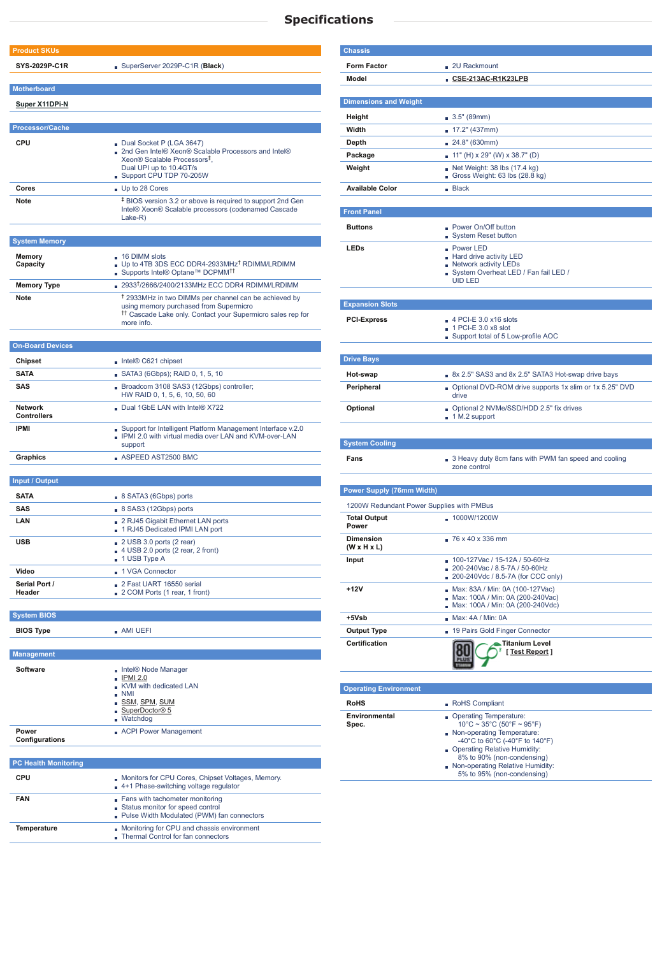## **Specifications**

| <b>Product SKUs</b>           |                                                                                                             |  |  |  |
|-------------------------------|-------------------------------------------------------------------------------------------------------------|--|--|--|
| <b>SYS-2029P-C1R</b>          | SuperServer 2029P-C1R (Black)                                                                               |  |  |  |
|                               |                                                                                                             |  |  |  |
| <b>Motherboard</b>            |                                                                                                             |  |  |  |
| <b>Super X11DPi-N</b>         |                                                                                                             |  |  |  |
|                               |                                                                                                             |  |  |  |
| <b>Processor/Cache</b>        |                                                                                                             |  |  |  |
| <b>CPU</b>                    | Dual Socket P (LGA 3647)                                                                                    |  |  |  |
|                               | 2nd Gen Intel® Xeon® Scalable Processors and Intel®<br>Xeon <sup>®</sup> Scalable Processors <sup>‡</sup> , |  |  |  |
|                               | Dual UPI up to 10.4GT/s                                                                                     |  |  |  |
|                               | Support CPU TDP 70-205W                                                                                     |  |  |  |
| Cores<br><b>Note</b>          | Up to 28 Cores<br><sup>‡</sup> BIOS version 3.2 or above is required to support 2nd Gen                     |  |  |  |
|                               | Intel® Xeon® Scalable processors (codenamed Cascade                                                         |  |  |  |
|                               | Lake-R)                                                                                                     |  |  |  |
| <b>System Memory</b>          |                                                                                                             |  |  |  |
|                               |                                                                                                             |  |  |  |
| <b>Memory</b><br>Capacity     | $\Box$ 16 DIMM slots<br>Up to 4TB 3DS ECC DDR4-2933MHz <sup>†</sup> RDIMM/LRDIMM                            |  |  |  |
|                               | ■ Supports Intel® Optane™ DCPMM <sup>††</sup>                                                               |  |  |  |
| <b>Memory Type</b>            | 2933 <sup>†</sup> /2666/2400/2133MHz ECC DDR4 RDIMM/LRDIMM                                                  |  |  |  |
| <b>Note</b>                   | <sup>†</sup> 2933MHz in two DIMMs per channel can be achieved by<br>using memory purchased from Supermicro  |  |  |  |
|                               | <sup>11</sup> Cascade Lake only. Contact your Supermicro sales rep for<br>more info.                        |  |  |  |
|                               |                                                                                                             |  |  |  |
| <b>On-Board Devices</b>       |                                                                                                             |  |  |  |
| <b>Chipset</b>                | Intel® C621 chipset                                                                                         |  |  |  |
| <b>SATA</b>                   | SATA3 (6Gbps); RAID 0, 1, 5, 10                                                                             |  |  |  |
| <b>SAS</b>                    | Broadcom 3108 SAS3 (12Gbps) controller;                                                                     |  |  |  |
|                               | HW RAID 0, 1, 5, 6, 10, 50, 60                                                                              |  |  |  |
| <b>Network</b><br>Controllers | Dual 1GbE LAN with Intel® X722                                                                              |  |  |  |
| <b>IPMI</b>                   | Support for Intelligent Platform Management Interface v.2.0                                                 |  |  |  |
|                               | <b>PMI 2.0 with virtual media over LAN and KVM-over-LAN</b><br>support                                      |  |  |  |
| <b>Graphics</b>               | ASPEED AST2500 BMC                                                                                          |  |  |  |
|                               |                                                                                                             |  |  |  |
| <b>Input / Output</b>         |                                                                                                             |  |  |  |
| <b>SATA</b>                   | 8 SATA3 (6Gbps) ports                                                                                       |  |  |  |
| <b>SAS</b>                    | 8 SAS3 (12Gbps) ports                                                                                       |  |  |  |
| LAN                           | 2 RJ45 Gigabit Ethernet LAN ports<br>1 RJ45 Dedicated IPMI LAN port                                         |  |  |  |
| <b>USB</b>                    | $\sqrt{2}$ 2 USB 3.0 ports (2 rear)                                                                         |  |  |  |
|                               | $\blacksquare$ 4 USB 2.0 ports (2 rear, 2 front)                                                            |  |  |  |
| Video                         | 1 USB Type A<br>- 1 VGA Connector                                                                           |  |  |  |
| Serial Port /                 | 2 Fast UART 16550 serial                                                                                    |  |  |  |
| <b>Header</b>                 | 2 COM Ports (1 rear, 1 front)                                                                               |  |  |  |
|                               |                                                                                                             |  |  |  |
| <b>System BIOS</b>            |                                                                                                             |  |  |  |
| <b>BIOS Type</b>              | $\blacksquare$ AMI UEFI                                                                                     |  |  |  |
| <b>Management</b>             |                                                                                                             |  |  |  |
| <b>Software</b>               |                                                                                                             |  |  |  |
|                               | Intel® Node Manager<br>∎ IPMI 2.0                                                                           |  |  |  |
|                               | KVM with dedicated LAN<br>$\blacksquare$ NMI                                                                |  |  |  |
|                               | ∎ SSM, SPM, SUM                                                                                             |  |  |  |
|                               | SuperDoctor® 5<br><b>Watchdog</b>                                                                           |  |  |  |
| <b>Power</b>                  | ACPI Power Management                                                                                       |  |  |  |
| Configurations                |                                                                                                             |  |  |  |

## **PC Health Monitoring**

| <b>CPU</b>         | Monitors for CPU Cores, Chipset Voltages, Memory.<br>4+1 Phase-switching voltage regulator                            |  |  |
|--------------------|-----------------------------------------------------------------------------------------------------------------------|--|--|
| <b>FAN</b>         | Fans with tachometer monitoring<br>■ Status monitor for speed control<br>■ Pulse Width Modulated (PWM) fan connectors |  |  |
| <b>Temperature</b> | Monitoring for CPU and chassis environment<br>Thermal Control for fan connectors                                      |  |  |

| <b>Chassis</b>                            |                                                                                                         |  |  |  |  |
|-------------------------------------------|---------------------------------------------------------------------------------------------------------|--|--|--|--|
| <b>Form Factor</b>                        | 2U Rackmount                                                                                            |  |  |  |  |
| <b>Model</b>                              | CSE-213AC-R1K23LPB                                                                                      |  |  |  |  |
| <b>Dimensions and Weight</b>              |                                                                                                         |  |  |  |  |
| Height                                    |                                                                                                         |  |  |  |  |
| Width                                     | 3.5" (89mm)<br>■ 17.2" (437mm)                                                                          |  |  |  |  |
| Depth                                     | 24.8" (630mm)                                                                                           |  |  |  |  |
| Package                                   | $11"$ (H) x 29" (W) x 38.7" (D)                                                                         |  |  |  |  |
| Weight                                    | Net Weight: $38$ lbs $(17.4 \text{ kg})$<br>Gross Weight: 63 lbs (28.8 kg)                              |  |  |  |  |
| <b>Available Color</b>                    | Back                                                                                                    |  |  |  |  |
|                                           |                                                                                                         |  |  |  |  |
| <b>Front Panel</b>                        |                                                                                                         |  |  |  |  |
| <b>Buttons</b>                            | • Power On/Off button<br><b>System Reset button</b><br>H.                                               |  |  |  |  |
| <b>LEDs</b>                               | <b>Power LED</b>                                                                                        |  |  |  |  |
|                                           | Hard drive activity LED<br>Network activity LEDs                                                        |  |  |  |  |
|                                           | System Overheat LED / Fan fail LED /<br><b>UID LED</b>                                                  |  |  |  |  |
|                                           |                                                                                                         |  |  |  |  |
| <b>Expansion Slots</b>                    |                                                                                                         |  |  |  |  |
| <b>PCI-Express</b>                        | $\blacksquare$ 4 PCI-E 3.0 x16 slots                                                                    |  |  |  |  |
|                                           | 1 PCI-E 3.0 x8 slot                                                                                     |  |  |  |  |
|                                           | Support total of 5 Low-profile AOC                                                                      |  |  |  |  |
|                                           |                                                                                                         |  |  |  |  |
| <b>Drive Bays</b>                         |                                                                                                         |  |  |  |  |
| Hot-swap                                  | 8x 2.5" SAS3 and 8x 2.5" SATA3 Hot-swap drive bays                                                      |  |  |  |  |
| Peripheral                                | Optional DVD-ROM drive supports 1x slim or 1x 5.25" DVD<br>drive                                        |  |  |  |  |
| Optional                                  | Optional 2 NVMe/SSD/HDD 2.5" fix drives                                                                 |  |  |  |  |
|                                           | ■ 1 M.2 support                                                                                         |  |  |  |  |
|                                           |                                                                                                         |  |  |  |  |
| <b>System Cooling</b>                     |                                                                                                         |  |  |  |  |
| Fans                                      | 3 Heavy duty 8cm fans with PWM fan speed and cooling<br>zone control                                    |  |  |  |  |
| <b>Power Supply (76mm Width)</b>          |                                                                                                         |  |  |  |  |
| 1200W Redundant Power Supplies with PMBus |                                                                                                         |  |  |  |  |
| <b>Total Output</b><br><b>Power</b>       | $-1000W/1200W$                                                                                          |  |  |  |  |
| <b>Dimension</b>                          | $-76 \times 40 \times 336$ mm                                                                           |  |  |  |  |
| $(W \times H \times L)$                   |                                                                                                         |  |  |  |  |
| Input                                     | ■ 100-127Vac / 15-12A / 50-60Hz<br>200-240Vac / 8.5-7A / 50-60Hz                                        |  |  |  |  |
|                                           | 200-240Vdc / 8.5-7A (for CCC only)                                                                      |  |  |  |  |
| $+12V$                                    | Max: 83A / Min: 0A (100-127Vac)<br>Max: 100A / Min: 0A (200-240Vac)<br>Max: 100A / Min: 0A (200-240Vdc) |  |  |  |  |
| +5Vsb                                     | ■ Max: 4A / Min: 0A                                                                                     |  |  |  |  |
| <b>Output Type</b>                        | 19 Pairs Gold Finger Connector                                                                          |  |  |  |  |
| <b>Certification</b>                      | Titanium Level<br>[Test Report]                                                                         |  |  |  |  |
| <b>Operating Environment</b>              |                                                                                                         |  |  |  |  |
| <b>RoHS</b>                               | RoHS Compliant                                                                                          |  |  |  |  |
| Environmental                             | Operating Temperature:                                                                                  |  |  |  |  |
| Spec.                                     | $10^{\circ}$ C ~ 35 $^{\circ}$ C (50 $^{\circ}$ F ~ 95 $^{\circ}$ F)                                    |  |  |  |  |
|                                           | Non-operating Temperature:                                                                              |  |  |  |  |

 -40°C to 60°C (-40°F to 140°F) Operating Relative Humidity:

 8% to 90% (non-condensing) Non-operating Relative Humidity: 5% to 95% (non-condensing)